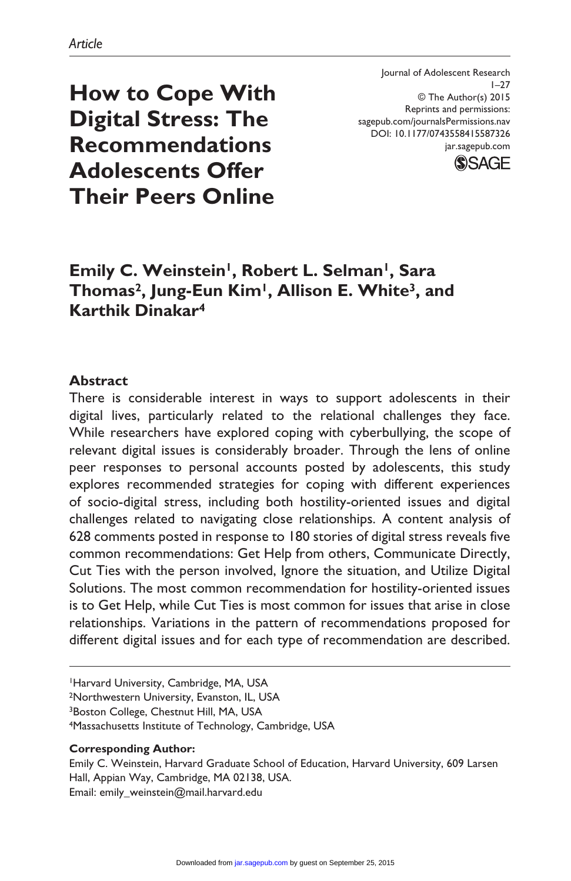Journal of Adolescent Research  $1 - 27$ © The Author(s) 2015 Reprints and permissions: sagepub.com/journalsPermissions.nav DOI: 10.1177/0743558415587326 jar.sagepub.com



**How to Cope With Digital Stress: The Recommendations Adolescents Offer Their Peers Online**

# **Emily C. Weinstein<sup>1</sup>, Robert L. Selman<sup>1</sup>, Sara Thomas2, Jung-Eun Kim1, Allison E. White3, and Karthik Dinakar4**

### **Abstract**

There is considerable interest in ways to support adolescents in their digital lives, particularly related to the relational challenges they face. While researchers have explored coping with cyberbullying, the scope of relevant digital issues is considerably broader. Through the lens of online peer responses to personal accounts posted by adolescents, this study explores recommended strategies for coping with different experiences of socio-digital stress, including both hostility-oriented issues and digital challenges related to navigating close relationships. A content analysis of 628 comments posted in response to 180 stories of digital stress reveals five common recommendations: Get Help from others, Communicate Directly, Cut Ties with the person involved, Ignore the situation, and Utilize Digital Solutions. The most common recommendation for hostility-oriented issues is to Get Help, while Cut Ties is most common for issues that arise in close relationships. Variations in the pattern of recommendations proposed for different digital issues and for each type of recommendation are described.

1Harvard University, Cambridge, MA, USA

2Northwestern University, Evanston, IL, USA

3Boston College, Chestnut Hill, MA, USA

4Massachusetts Institute of Technology, Cambridge, USA

#### **Corresponding Author:**

Emily C. Weinstein, Harvard Graduate School of Education, Harvard University, 609 Larsen Hall, Appian Way, Cambridge, MA 02138, USA. Email: [emily\\_weinstein@mail.harvard.edu](mailto:emily_weinstein@mail.harvard.edu)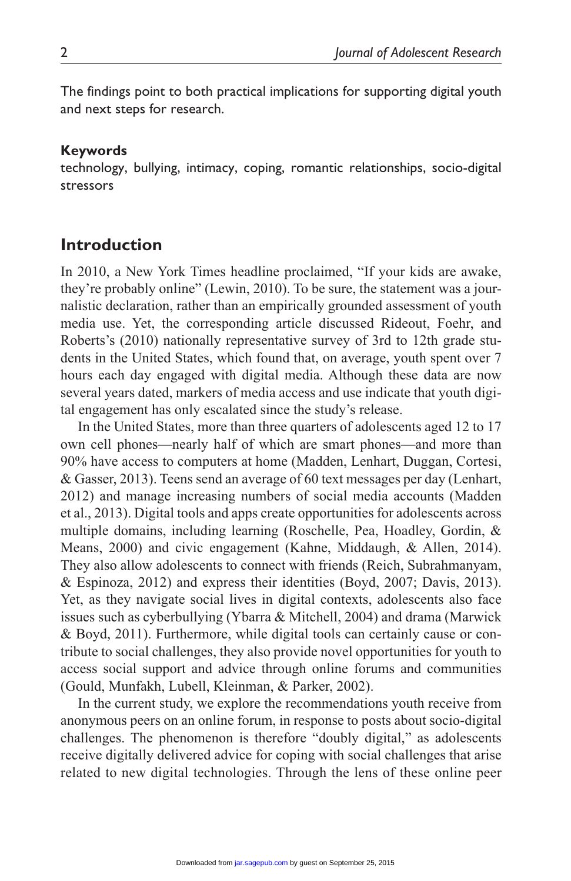The findings point to both practical implications for supporting digital youth and next steps for research.

#### **Keywords**

technology, bullying, intimacy, coping, romantic relationships, socio-digital stressors

## **Introduction**

In 2010, a New York Times headline proclaimed, "If your kids are awake, they're probably online" (Lewin, 2010). To be sure, the statement was a journalistic declaration, rather than an empirically grounded assessment of youth media use. Yet, the corresponding article discussed Rideout, Foehr, and Roberts's (2010) nationally representative survey of 3rd to 12th grade students in the United States, which found that, on average, youth spent over 7 hours each day engaged with digital media. Although these data are now several years dated, markers of media access and use indicate that youth digital engagement has only escalated since the study's release.

In the United States, more than three quarters of adolescents aged 12 to 17 own cell phones—nearly half of which are smart phones—and more than 90% have access to computers at home (Madden, Lenhart, Duggan, Cortesi, & Gasser, 2013). Teens send an average of 60 text messages per day (Lenhart, 2012) and manage increasing numbers of social media accounts (Madden et al., 2013). Digital tools and apps create opportunities for adolescents across multiple domains, including learning (Roschelle, Pea, Hoadley, Gordin, & Means, 2000) and civic engagement (Kahne, Middaugh, & Allen, 2014). They also allow adolescents to connect with friends (Reich, Subrahmanyam, & Espinoza, 2012) and express their identities (Boyd, 2007; Davis, 2013). Yet, as they navigate social lives in digital contexts, adolescents also face issues such as cyberbullying (Ybarra & Mitchell, 2004) and drama (Marwick & Boyd, 2011). Furthermore, while digital tools can certainly cause or contribute to social challenges, they also provide novel opportunities for youth to access social support and advice through online forums and communities (Gould, Munfakh, Lubell, Kleinman, & Parker, 2002).

In the current study, we explore the recommendations youth receive from anonymous peers on an online forum, in response to posts about socio-digital challenges. The phenomenon is therefore "doubly digital," as adolescents receive digitally delivered advice for coping with social challenges that arise related to new digital technologies. Through the lens of these online peer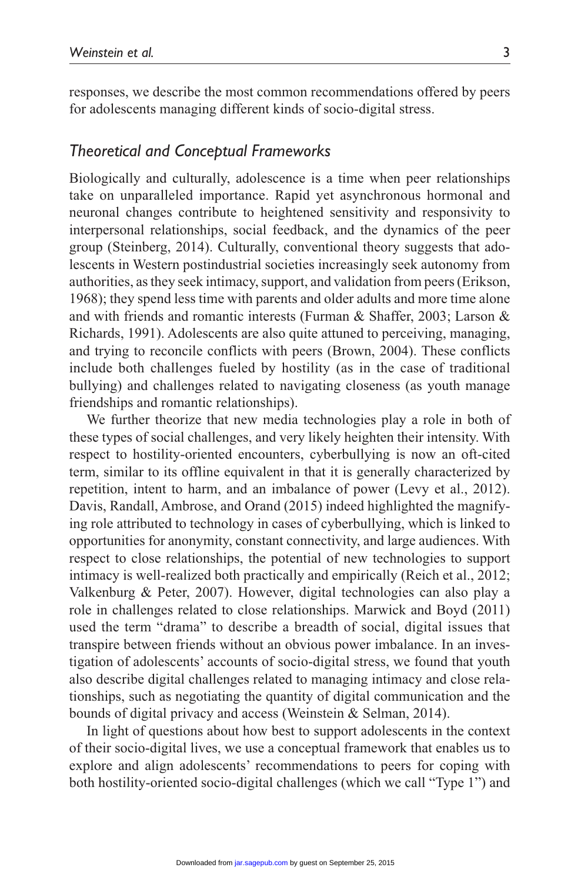responses, we describe the most common recommendations offered by peers for adolescents managing different kinds of socio-digital stress.

#### *Theoretical and Conceptual Frameworks*

Biologically and culturally, adolescence is a time when peer relationships take on unparalleled importance. Rapid yet asynchronous hormonal and neuronal changes contribute to heightened sensitivity and responsivity to interpersonal relationships, social feedback, and the dynamics of the peer group (Steinberg, 2014). Culturally, conventional theory suggests that adolescents in Western postindustrial societies increasingly seek autonomy from authorities, as they seek intimacy, support, and validation from peers (Erikson, 1968); they spend less time with parents and older adults and more time alone and with friends and romantic interests (Furman & Shaffer, 2003; Larson & Richards, 1991). Adolescents are also quite attuned to perceiving, managing, and trying to reconcile conflicts with peers (Brown, 2004). These conflicts include both challenges fueled by hostility (as in the case of traditional bullying) and challenges related to navigating closeness (as youth manage friendships and romantic relationships).

We further theorize that new media technologies play a role in both of these types of social challenges, and very likely heighten their intensity. With respect to hostility-oriented encounters, cyberbullying is now an oft-cited term, similar to its offline equivalent in that it is generally characterized by repetition, intent to harm, and an imbalance of power (Levy et al., 2012). Davis, Randall, Ambrose, and Orand (2015) indeed highlighted the magnifying role attributed to technology in cases of cyberbullying, which is linked to opportunities for anonymity, constant connectivity, and large audiences. With respect to close relationships, the potential of new technologies to support intimacy is well-realized both practically and empirically (Reich et al., 2012; Valkenburg & Peter, 2007). However, digital technologies can also play a role in challenges related to close relationships. Marwick and Boyd (2011) used the term "drama" to describe a breadth of social, digital issues that transpire between friends without an obvious power imbalance. In an investigation of adolescents' accounts of socio-digital stress, we found that youth also describe digital challenges related to managing intimacy and close relationships, such as negotiating the quantity of digital communication and the bounds of digital privacy and access (Weinstein & Selman, 2014).

In light of questions about how best to support adolescents in the context of their socio-digital lives, we use a conceptual framework that enables us to explore and align adolescents' recommendations to peers for coping with both hostility-oriented socio-digital challenges (which we call "Type 1") and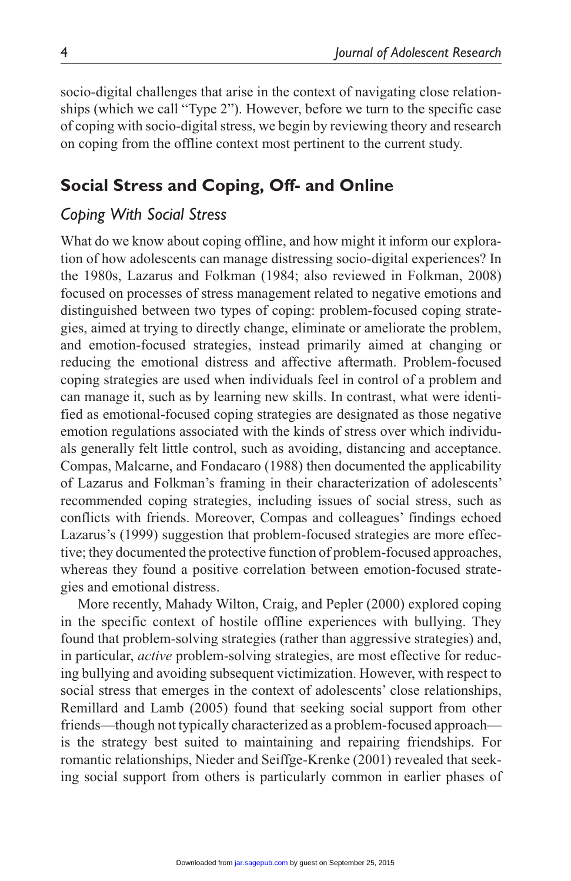socio-digital challenges that arise in the context of navigating close relationships (which we call "Type 2"). However, before we turn to the specific case of coping with socio-digital stress, we begin by reviewing theory and research on coping from the offline context most pertinent to the current study.

# **Social Stress and Coping, Off- and Online**

## *Coping With Social Stress*

What do we know about coping offline, and how might it inform our exploration of how adolescents can manage distressing socio-digital experiences? In the 1980s, Lazarus and Folkman (1984; also reviewed in Folkman, 2008) focused on processes of stress management related to negative emotions and distinguished between two types of coping: problem-focused coping strategies, aimed at trying to directly change, eliminate or ameliorate the problem, and emotion-focused strategies, instead primarily aimed at changing or reducing the emotional distress and affective aftermath. Problem-focused coping strategies are used when individuals feel in control of a problem and can manage it, such as by learning new skills. In contrast, what were identified as emotional-focused coping strategies are designated as those negative emotion regulations associated with the kinds of stress over which individuals generally felt little control, such as avoiding, distancing and acceptance. Compas, Malcarne, and Fondacaro (1988) then documented the applicability of Lazarus and Folkman's framing in their characterization of adolescents' recommended coping strategies, including issues of social stress, such as conflicts with friends. Moreover, Compas and colleagues' findings echoed Lazarus's (1999) suggestion that problem-focused strategies are more effective; they documented the protective function of problem-focused approaches, whereas they found a positive correlation between emotion-focused strategies and emotional distress.

More recently, Mahady Wilton, Craig, and Pepler (2000) explored coping in the specific context of hostile offline experiences with bullying. They found that problem-solving strategies (rather than aggressive strategies) and, in particular, *active* problem-solving strategies, are most effective for reducing bullying and avoiding subsequent victimization. However, with respect to social stress that emerges in the context of adolescents' close relationships, Remillard and Lamb (2005) found that seeking social support from other friends—though not typically characterized as a problem-focused approach is the strategy best suited to maintaining and repairing friendships. For romantic relationships, Nieder and Seiffge-Krenke (2001) revealed that seeking social support from others is particularly common in earlier phases of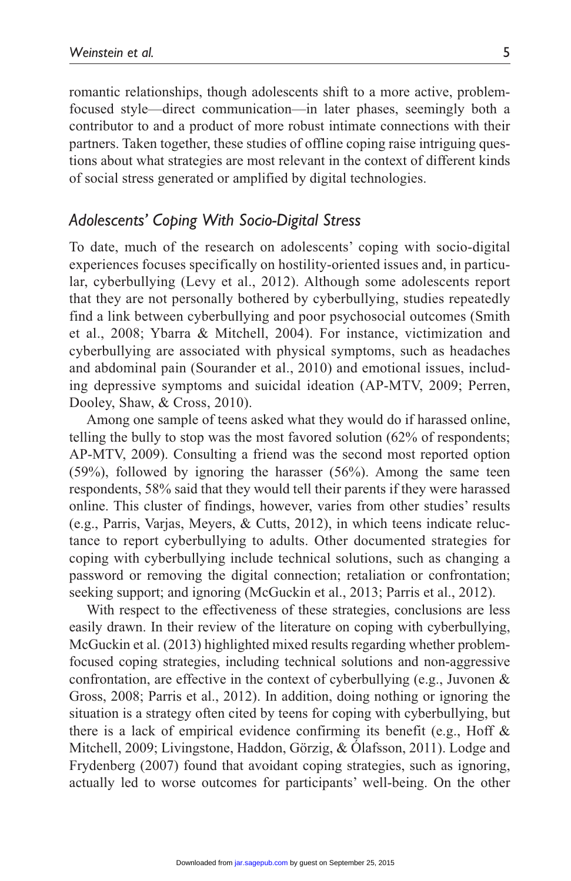romantic relationships, though adolescents shift to a more active, problemfocused style—direct communication—in later phases, seemingly both a contributor to and a product of more robust intimate connections with their partners. Taken together, these studies of offline coping raise intriguing questions about what strategies are most relevant in the context of different kinds of social stress generated or amplified by digital technologies.

### *Adolescents' Coping With Socio-Digital Stress*

To date, much of the research on adolescents' coping with socio-digital experiences focuses specifically on hostility-oriented issues and, in particular, cyberbullying (Levy et al., 2012). Although some adolescents report that they are not personally bothered by cyberbullying, studies repeatedly find a link between cyberbullying and poor psychosocial outcomes (Smith et al., 2008; Ybarra & Mitchell, 2004). For instance, victimization and cyberbullying are associated with physical symptoms, such as headaches and abdominal pain (Sourander et al., 2010) and emotional issues, including depressive symptoms and suicidal ideation (AP-MTV, 2009; Perren, Dooley, Shaw, & Cross, 2010).

Among one sample of teens asked what they would do if harassed online, telling the bully to stop was the most favored solution (62% of respondents; AP-MTV, 2009). Consulting a friend was the second most reported option (59%), followed by ignoring the harasser (56%). Among the same teen respondents, 58% said that they would tell their parents if they were harassed online. This cluster of findings, however, varies from other studies' results (e.g., Parris, Varjas, Meyers, & Cutts, 2012), in which teens indicate reluctance to report cyberbullying to adults. Other documented strategies for coping with cyberbullying include technical solutions, such as changing a password or removing the digital connection; retaliation or confrontation; seeking support; and ignoring (McGuckin et al., 2013; Parris et al., 2012).

With respect to the effectiveness of these strategies, conclusions are less easily drawn. In their review of the literature on coping with cyberbullying, McGuckin et al. (2013) highlighted mixed results regarding whether problemfocused coping strategies, including technical solutions and non-aggressive confrontation, are effective in the context of cyberbullying (e.g., Juvonen & Gross, 2008; Parris et al., 2012). In addition, doing nothing or ignoring the situation is a strategy often cited by teens for coping with cyberbullying, but there is a lack of empirical evidence confirming its benefit (e.g., Hoff  $\&$ Mitchell, 2009; Livingstone, Haddon, Görzig, & Ólafsson, 2011). Lodge and Frydenberg (2007) found that avoidant coping strategies, such as ignoring, actually led to worse outcomes for participants' well-being. On the other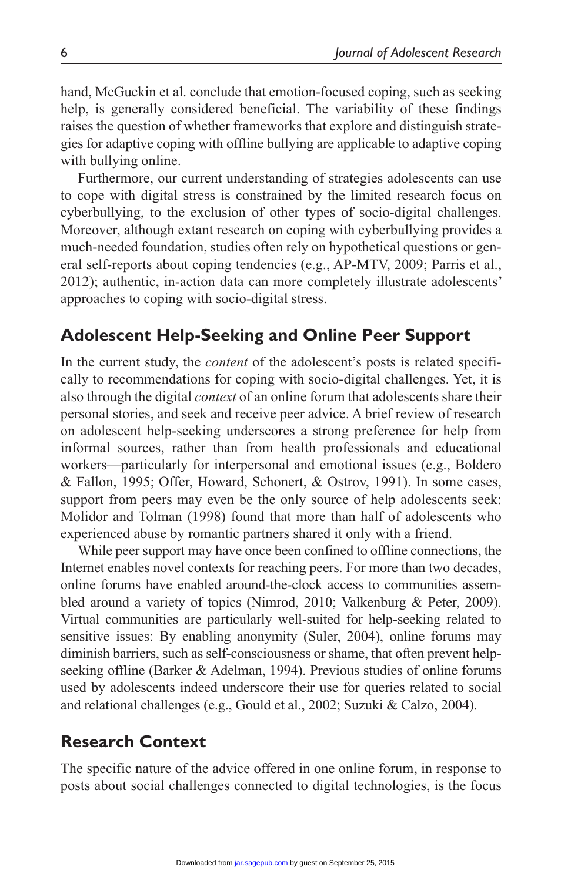hand, McGuckin et al. conclude that emotion-focused coping, such as seeking help, is generally considered beneficial. The variability of these findings raises the question of whether frameworks that explore and distinguish strategies for adaptive coping with offline bullying are applicable to adaptive coping with bullying online.

Furthermore, our current understanding of strategies adolescents can use to cope with digital stress is constrained by the limited research focus on cyberbullying, to the exclusion of other types of socio-digital challenges. Moreover, although extant research on coping with cyberbullying provides a much-needed foundation, studies often rely on hypothetical questions or general self-reports about coping tendencies (e.g., AP-MTV, 2009; Parris et al., 2012); authentic, in-action data can more completely illustrate adolescents' approaches to coping with socio-digital stress.

## **Adolescent Help-Seeking and Online Peer Support**

In the current study, the *content* of the adolescent's posts is related specifically to recommendations for coping with socio-digital challenges. Yet, it is also through the digital *context* of an online forum that adolescents share their personal stories, and seek and receive peer advice. A brief review of research on adolescent help-seeking underscores a strong preference for help from informal sources, rather than from health professionals and educational workers—particularly for interpersonal and emotional issues (e.g., Boldero & Fallon, 1995; Offer, Howard, Schonert, & Ostrov, 1991). In some cases, support from peers may even be the only source of help adolescents seek: Molidor and Tolman (1998) found that more than half of adolescents who experienced abuse by romantic partners shared it only with a friend.

While peer support may have once been confined to offline connections, the Internet enables novel contexts for reaching peers. For more than two decades, online forums have enabled around-the-clock access to communities assembled around a variety of topics (Nimrod, 2010; Valkenburg & Peter, 2009). Virtual communities are particularly well-suited for help-seeking related to sensitive issues: By enabling anonymity (Suler, 2004), online forums may diminish barriers, such as self-consciousness or shame, that often prevent helpseeking offline (Barker & Adelman, 1994). Previous studies of online forums used by adolescents indeed underscore their use for queries related to social and relational challenges (e.g., Gould et al., 2002; Suzuki & Calzo, 2004).

## **Research Context**

The specific nature of the advice offered in one online forum, in response to posts about social challenges connected to digital technologies, is the focus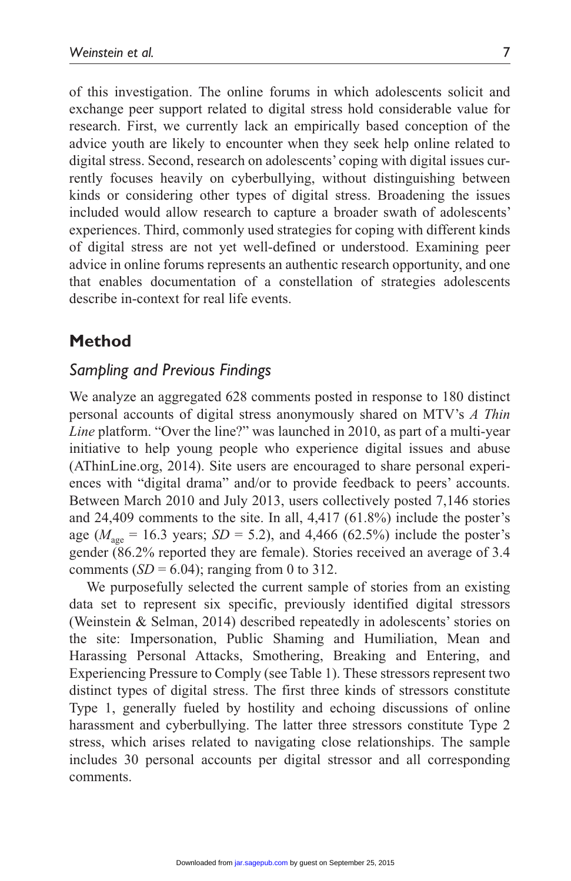of this investigation. The online forums in which adolescents solicit and exchange peer support related to digital stress hold considerable value for research. First, we currently lack an empirically based conception of the advice youth are likely to encounter when they seek help online related to digital stress. Second, research on adolescents' coping with digital issues currently focuses heavily on cyberbullying, without distinguishing between kinds or considering other types of digital stress. Broadening the issues included would allow research to capture a broader swath of adolescents' experiences. Third, commonly used strategies for coping with different kinds of digital stress are not yet well-defined or understood. Examining peer advice in online forums represents an authentic research opportunity, and one that enables documentation of a constellation of strategies adolescents describe in-context for real life events.

### **Method**

### *Sampling and Previous Findings*

We analyze an aggregated 628 comments posted in response to 180 distinct personal accounts of digital stress anonymously shared on MTV's *A Thin Line* platform. "Over the line?" was launched in 2010, as part of a multi-year initiative to help young people who experience digital issues and abuse (AThinLine.org, 2014). Site users are encouraged to share personal experiences with "digital drama" and/or to provide feedback to peers' accounts. Between March 2010 and July 2013, users collectively posted 7,146 stories and 24,409 comments to the site. In all, 4,417 (61.8%) include the poster's age ( $M_{\text{age}} = 16.3$  years; *SD* = 5.2), and 4,466 (62.5%) include the poster's gender (86.2% reported they are female). Stories received an average of 3.4 comments  $(SD = 6.04)$ ; ranging from 0 to 312.

We purposefully selected the current sample of stories from an existing data set to represent six specific, previously identified digital stressors (Weinstein & Selman, 2014) described repeatedly in adolescents' stories on the site: Impersonation, Public Shaming and Humiliation, Mean and Harassing Personal Attacks, Smothering, Breaking and Entering, and Experiencing Pressure to Comply (see Table 1). These stressors represent two distinct types of digital stress. The first three kinds of stressors constitute Type 1, generally fueled by hostility and echoing discussions of online harassment and cyberbullying. The latter three stressors constitute Type 2 stress, which arises related to navigating close relationships. The sample includes 30 personal accounts per digital stressor and all corresponding comments.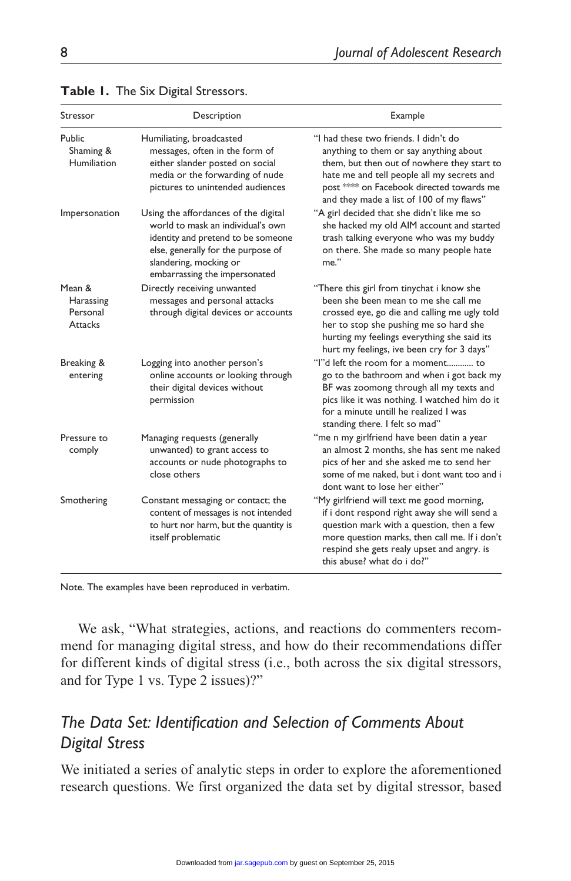| Stressor                                          | Description                                                                                                                                                                                                      | Example                                                                                                                                                                                                                                                                  |
|---------------------------------------------------|------------------------------------------------------------------------------------------------------------------------------------------------------------------------------------------------------------------|--------------------------------------------------------------------------------------------------------------------------------------------------------------------------------------------------------------------------------------------------------------------------|
| Public<br>Shaming &<br>Humiliation                | Humiliating, broadcasted<br>messages, often in the form of<br>either slander posted on social<br>media or the forwarding of nude<br>pictures to unintended audiences                                             | "I had these two friends. I didn't do<br>anything to them or say anything about<br>them, but then out of nowhere they start to<br>hate me and tell people all my secrets and<br>post *** on Facebook directed towards me<br>and they made a list of 100 of my flaws"     |
| Impersonation                                     | Using the affordances of the digital<br>world to mask an individual's own<br>identity and pretend to be someone<br>else, generally for the purpose of<br>slandering, mocking or<br>embarrassing the impersonated | "A girl decided that she didn't like me so<br>she hacked my old AIM account and started<br>trash talking everyone who was my buddy<br>on there. She made so many people hate<br>me."                                                                                     |
| Mean &<br>Harassing<br>Personal<br><b>Attacks</b> | Directly receiving unwanted<br>messages and personal attacks<br>through digital devices or accounts                                                                                                              | "There this girl from tinychat i know she<br>been she been mean to me she call me<br>crossed eye, go die and calling me ugly told<br>her to stop she pushing me so hard she<br>hurting my feelings everything she said its<br>hurt my feelings, ive been cry for 3 days" |
| Breaking &<br>entering                            | Logging into another person's<br>online accounts or looking through<br>their digital devices without<br>permission                                                                                               | "I"d left the room for a moment to<br>go to the bathroom and when i got back my<br>BF was zoomong through all my texts and<br>pics like it was nothing. I watched him do it<br>for a minute untill he realized I was<br>standing there. I felt so mad"                   |
| Pressure to<br>comply                             | Managing requests (generally<br>unwanted) to grant access to<br>accounts or nude photographs to<br>close others                                                                                                  | "me n my girlfriend have been datin a year<br>an almost 2 months, she has sent me naked<br>pics of her and she asked me to send her<br>some of me naked, but i dont want too and i<br>dont want to lose her either"                                                      |
| Smothering                                        | Constant messaging or contact; the<br>content of messages is not intended<br>to hurt nor harm, but the quantity is<br>itself problematic                                                                         | "My girlfriend will text me good morning,<br>if i dont respond right away she will send a<br>question mark with a question, then a few<br>more question marks, then call me. If i don't<br>respind she gets realy upset and angry. is<br>this abuse? what do i do?"      |

**Table 1.** The Six Digital Stressors.

Note. The examples have been reproduced in verbatim.

We ask, "What strategies, actions, and reactions do commenters recommend for managing digital stress, and how do their recommendations differ for different kinds of digital stress (i.e., both across the six digital stressors, and for Type 1 vs. Type 2 issues)?"

# *The Data Set: Identification and Selection of Comments About Digital Stress*

We initiated a series of analytic steps in order to explore the aforementioned research questions. We first organized the data set by digital stressor, based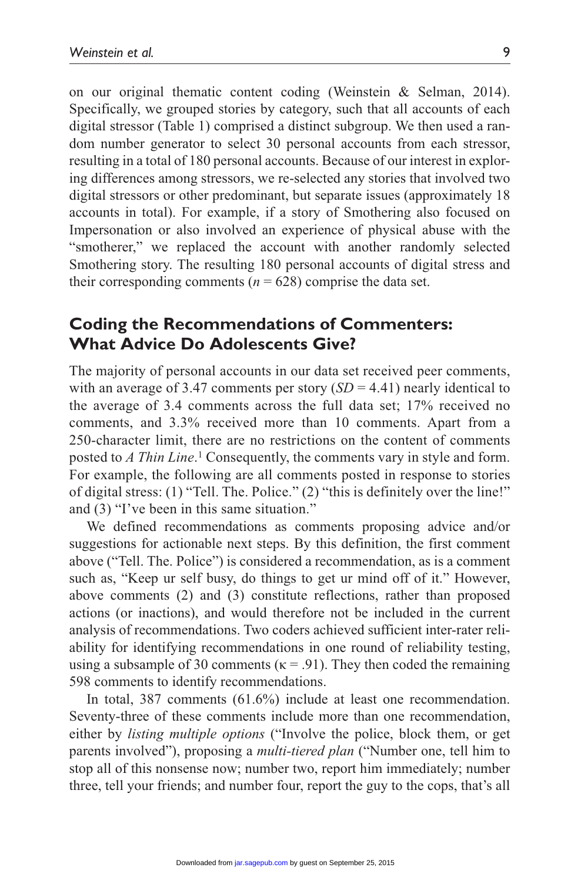on our original thematic content coding (Weinstein & Selman, 2014). Specifically, we grouped stories by category, such that all accounts of each digital stressor (Table 1) comprised a distinct subgroup. We then used a random number generator to select 30 personal accounts from each stressor, resulting in a total of 180 personal accounts. Because of our interest in exploring differences among stressors, we re-selected any stories that involved two digital stressors or other predominant, but separate issues (approximately 18 accounts in total). For example, if a story of Smothering also focused on Impersonation or also involved an experience of physical abuse with the "smotherer," we replaced the account with another randomly selected Smothering story. The resulting 180 personal accounts of digital stress and their corresponding comments ( $n = 628$ ) comprise the data set.

## **Coding the Recommendations of Commenters: What Advice Do Adolescents Give?**

The majority of personal accounts in our data set received peer comments, with an average of 3.47 comments per story  $(SD = 4.41)$  nearly identical to the average of 3.4 comments across the full data set; 17% received no comments, and 3.3% received more than 10 comments. Apart from a 250-character limit, there are no restrictions on the content of comments posted to *A Thin Line*. 1 Consequently, the comments vary in style and form. For example, the following are all comments posted in response to stories of digital stress: (1) "Tell. The. Police." (2) "this is definitely over the line!" and (3) "I've been in this same situation."

We defined recommendations as comments proposing advice and/or suggestions for actionable next steps. By this definition, the first comment above ("Tell. The. Police") is considered a recommendation, as is a comment such as, "Keep ur self busy, do things to get ur mind off of it." However, above comments (2) and (3) constitute reflections, rather than proposed actions (or inactions), and would therefore not be included in the current analysis of recommendations. Two coders achieved sufficient inter-rater reliability for identifying recommendations in one round of reliability testing, using a subsample of 30 comments ( $\kappa$  = .91). They then coded the remaining 598 comments to identify recommendations.

In total, 387 comments (61.6%) include at least one recommendation. Seventy-three of these comments include more than one recommendation, either by *listing multiple options* ("Involve the police, block them, or get parents involved"), proposing a *multi-tiered plan* ("Number one, tell him to stop all of this nonsense now; number two, report him immediately; number three, tell your friends; and number four, report the guy to the cops, that's all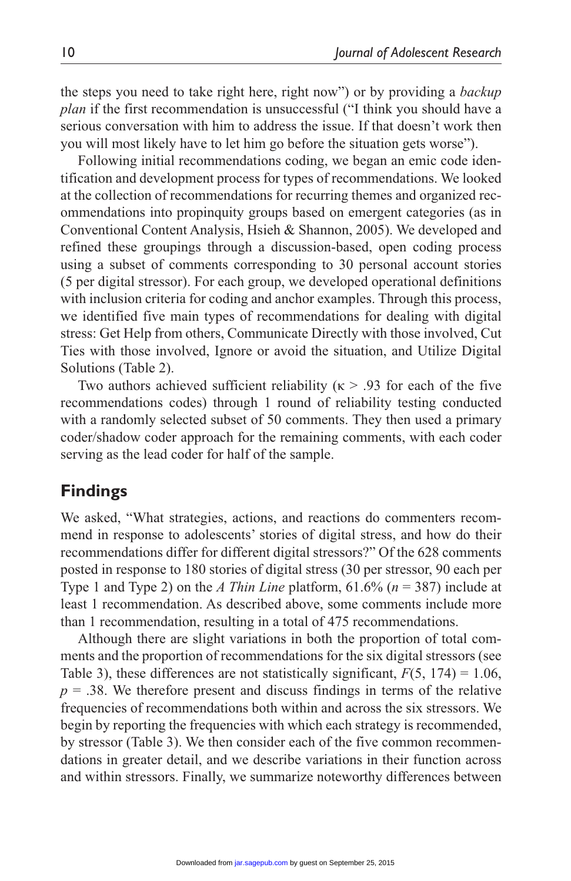the steps you need to take right here, right now") or by providing a *backup plan* if the first recommendation is unsuccessful ("I think you should have a serious conversation with him to address the issue. If that doesn't work then you will most likely have to let him go before the situation gets worse").

Following initial recommendations coding, we began an emic code identification and development process for types of recommendations. We looked at the collection of recommendations for recurring themes and organized recommendations into propinquity groups based on emergent categories (as in Conventional Content Analysis, Hsieh & Shannon, 2005). We developed and refined these groupings through a discussion-based, open coding process using a subset of comments corresponding to 30 personal account stories (5 per digital stressor). For each group, we developed operational definitions with inclusion criteria for coding and anchor examples. Through this process, we identified five main types of recommendations for dealing with digital stress: Get Help from others, Communicate Directly with those involved, Cut Ties with those involved, Ignore or avoid the situation, and Utilize Digital Solutions (Table 2).

Two authors achieved sufficient reliability ( $\kappa > .93$  for each of the five recommendations codes) through 1 round of reliability testing conducted with a randomly selected subset of 50 comments. They then used a primary coder/shadow coder approach for the remaining comments, with each coder serving as the lead coder for half of the sample.

## **Findings**

We asked, "What strategies, actions, and reactions do commenters recommend in response to adolescents' stories of digital stress, and how do their recommendations differ for different digital stressors?" Of the 628 comments posted in response to 180 stories of digital stress (30 per stressor, 90 each per Type 1 and Type 2) on the *A Thin Line* platform, 61.6% (*n* = 387) include at least 1 recommendation. As described above, some comments include more than 1 recommendation, resulting in a total of 475 recommendations.

Although there are slight variations in both the proportion of total comments and the proportion of recommendations for the six digital stressors (see Table 3), these differences are not statistically significant,  $F(5, 174) = 1.06$ ,  $p = 0.38$ . We therefore present and discuss findings in terms of the relative frequencies of recommendations both within and across the six stressors. We begin by reporting the frequencies with which each strategy is recommended, by stressor (Table 3). We then consider each of the five common recommendations in greater detail, and we describe variations in their function across and within stressors. Finally, we summarize noteworthy differences between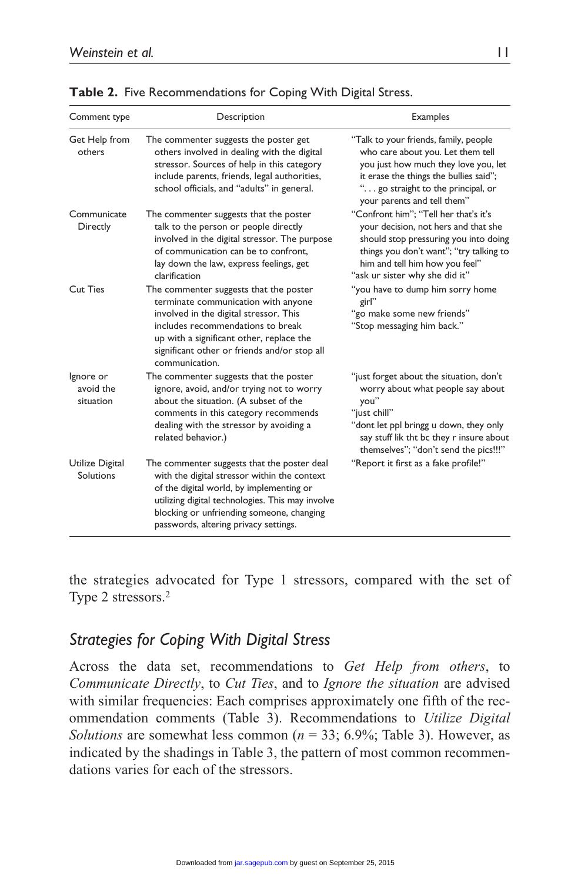| Comment type                        | Description                                                                                                                                                                                                                                                                       | <b>Examples</b>                                                                                                                                                                                                                       |
|-------------------------------------|-----------------------------------------------------------------------------------------------------------------------------------------------------------------------------------------------------------------------------------------------------------------------------------|---------------------------------------------------------------------------------------------------------------------------------------------------------------------------------------------------------------------------------------|
| Get Help from<br>others             | The commenter suggests the poster get<br>others involved in dealing with the digital<br>stressor. Sources of help in this category<br>include parents, friends, legal authorities,<br>school officials, and "adults" in general.                                                  | "Talk to your friends, family, people<br>who care about you. Let them tell<br>you just how much they love you, let<br>it erase the things the bullies said";<br>" go straight to the principal, or<br>your parents and tell them"     |
| Communicate<br>Directly             | The commenter suggests that the poster<br>talk to the person or people directly<br>involved in the digital stressor. The purpose<br>of communication can be to confront.<br>lay down the law, express feelings, get<br>clarification                                              | "Confront him"; "Tell her that's it's<br>your decision, not hers and that she<br>should stop pressuring you into doing<br>things you don't want"; "try talking to<br>him and tell him how you feel"<br>"ask ur sister why she did it" |
| Cut Ties                            | The commenter suggests that the poster<br>terminate communication with anyone<br>involved in the digital stressor. This<br>includes recommendations to break<br>up with a significant other, replace the<br>significant other or friends and/or stop all<br>communication.        | "you have to dump him sorry home<br>girl"<br>"go make some new friends"<br>"Stop messaging him back."                                                                                                                                 |
| Ignore or<br>avoid the<br>situation | The commenter suggests that the poster<br>ignore, avoid, and/or trying not to worry<br>about the situation. (A subset of the<br>comments in this category recommends<br>dealing with the stressor by avoiding a<br>related behavior.)                                             | "just forget about the situation, don't<br>worry about what people say about<br>you"<br>"just chill"<br>"dont let ppl bringg u down, they only<br>say stuff lik tht bc they r insure about<br>themselves"; "don't send the pics!!!"   |
| Utilize Digital<br>Solutions        | The commenter suggests that the poster deal<br>with the digital stressor within the context<br>of the digital world, by implementing or<br>utilizing digital technologies. This may involve<br>blocking or unfriending someone, changing<br>passwords, altering privacy settings. | "Report it first as a fake profile!"                                                                                                                                                                                                  |

**Table 2.** Five Recommendations for Coping With Digital Stress.

the strategies advocated for Type 1 stressors, compared with the set of Type 2 stressors.<sup>2</sup>

## *Strategies for Coping With Digital Stress*

Across the data set, recommendations to *Get Help from others*, to *Communicate Directly*, to *Cut Ties*, and to *Ignore the situation* are advised with similar frequencies: Each comprises approximately one fifth of the recommendation comments (Table 3). Recommendations to *Utilize Digital Solutions* are somewhat less common ( $n = 33$ ; 6.9%; Table 3). However, as indicated by the shadings in Table 3, the pattern of most common recommendations varies for each of the stressors.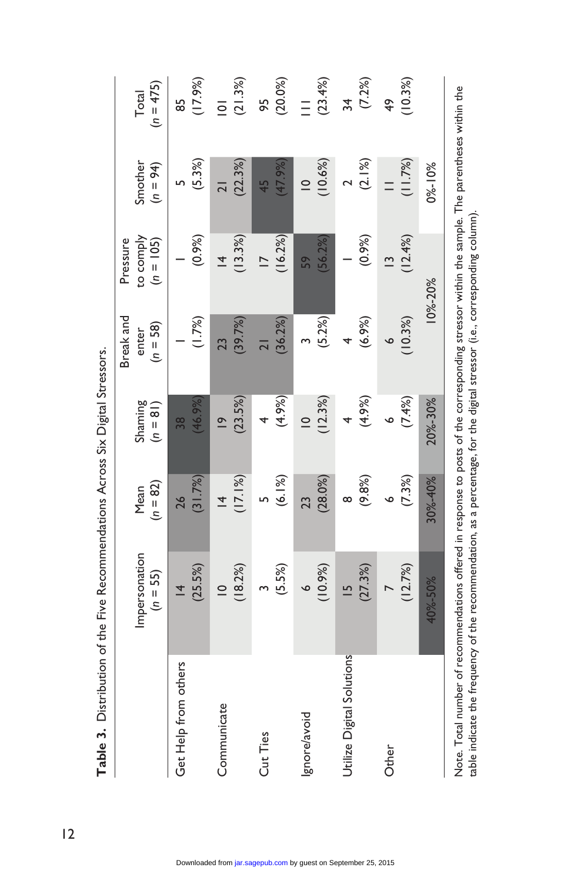|                                                                                                                                                | Impersonation<br>$(n = 55)$ | $(n = 82)$<br>Mean                 | Shaming<br>$(n = 81)$     | Break and<br>$(n = 58)$<br>enter | to comply<br>Pressure<br>$(n = 105)$ | Smother<br>$(4) = 94$         | $(n = 475)$<br>Total      |
|------------------------------------------------------------------------------------------------------------------------------------------------|-----------------------------|------------------------------------|---------------------------|----------------------------------|--------------------------------------|-------------------------------|---------------------------|
| Get Help from others                                                                                                                           | (25.5%)<br>$\overline{4}$   | (31.7%)<br>26                      | (46.9%<br>38              | (1.7%)                           | (0.9%                                | (5.3%)                        | (17.9%)<br>85             |
| Communicate                                                                                                                                    | (18.2%)<br>$\subseteq$      | (17.1%)<br>$\overline{\mathbf{r}}$ | (23.5%)<br>$\overline{a}$ | (39.7%)<br>23                    | (13.3%)<br>$\overline{4}$            | (22.3%)                       | (21.3%)<br>$\overline{a}$ |
| Cut Ties                                                                                                                                       | (5.5%)                      | (6.1%)<br>Щ                        | (4.9%                     | (36.2%)                          | (16.2%)<br>$\overline{\phantom{0}}$  | (47.9%)                       | (20.0%)<br>95             |
| Ignore/avoid                                                                                                                                   | (10.9%<br>$\bullet$         | (28.0%)<br>23                      | (12.3%)<br>$\subseteq$    | (5.2%)                           | (56.2%)<br>59                        | (10.6%)<br>$\overline{\circ}$ | (23.4%                    |
| Utilize Digital Solutions                                                                                                                      | (27.3%)<br>$\overline{5}$   | (9.8%)<br>$\infty$                 | (4.9%                     | (6.9%)                           | (0.9%                                | (2.1%)                        | (7.2%)<br>34              |
| Other                                                                                                                                          | (12.7%)                     | (7.3%)<br>∾                        | (7.4%)<br>o               | (10.3%)                          | $(12.4\%)$<br>$\tilde{=}$            | (11.7%)                       | (10.3%)<br>$\frac{4}{5}$  |
|                                                                                                                                                | 40%-50%                     | 30%-40%                            | 20%-30%                   |                                  | 10%-20%                              | 0%-10%                        |                           |
| Note. Total number of recommendations offered in response to posts of the corresponding stressor within the sample. The parentheses within the |                             |                                    |                           |                                  |                                      |                               |                           |

table indicate the frequency of the recommendation, as a percentage, for the digital stressor (i.e., corresponding column).

table indicate the frequency of the recommendation, as a percentage, for the digital stressor (i.e., corresponding column),

Table 3. Distribution of the Five Recommendations Across Six Digital Stressors. **Table 3.** Distribution of the Five Recommendations Across Six Digital Stressors.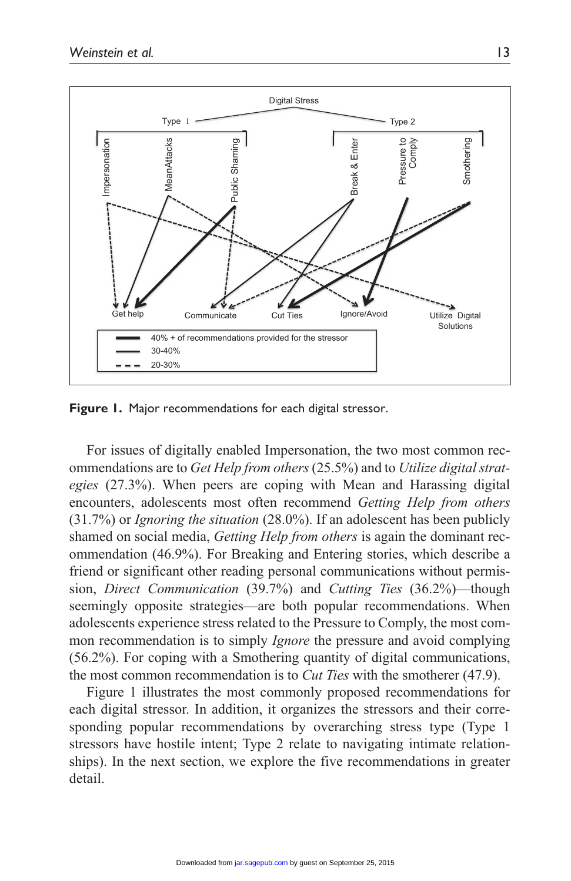

**Figure 1.** Major recommendations for each digital stressor.

For issues of digitally enabled Impersonation, the two most common recommendations are to *Get Help from others* (25.5%) and to *Utilize digital strategies* (27.3%). When peers are coping with Mean and Harassing digital encounters, adolescents most often recommend *Getting Help from others* (31.7%) or *Ignoring the situation* (28.0%). If an adolescent has been publicly shamed on social media, *Getting Help from others* is again the dominant recommendation (46.9%). For Breaking and Entering stories, which describe a friend or significant other reading personal communications without permission, *Direct Communication* (39.7%) and *Cutting Ties* (36.2%)—though seemingly opposite strategies—are both popular recommendations. When adolescents experience stress related to the Pressure to Comply, the most common recommendation is to simply *Ignore* the pressure and avoid complying (56.2%). For coping with a Smothering quantity of digital communications, the most common recommendation is to *Cut Ties* with the smotherer (47.9).

Figure 1 illustrates the most commonly proposed recommendations for each digital stressor. In addition, it organizes the stressors and their corresponding popular recommendations by overarching stress type (Type 1 stressors have hostile intent; Type 2 relate to navigating intimate relationships). In the next section, we explore the five recommendations in greater detail.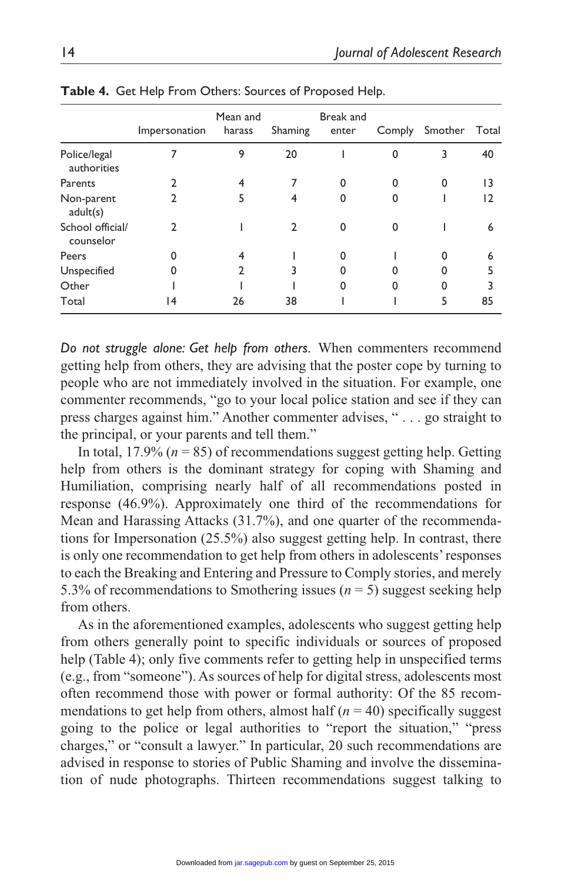|                               | Impersonation | Mean and<br>harass | Shaming | Break and<br>enter | Comply | Smother | Total |
|-------------------------------|---------------|--------------------|---------|--------------------|--------|---------|-------|
| Police/legal<br>authorities   |               | 9                  | 20      |                    | 0      | 3       | 40    |
| Parents                       |               | 4                  |         | 0                  | 0      | 0       | 13    |
| Non-parent<br>adult(s)        | 2             | 5                  | 4       | 0                  | 0      |         | 12    |
| School official/<br>counselor | 2             |                    | 2       | 0                  | 0      |         | 6     |
| Peers                         | ŋ             | 4                  |         | $\Omega$           |        | 0       | 6     |
| Unspecified                   |               | $\mathcal{P}$      |         | 0                  |        | O       |       |
| Other                         |               |                    |         | 0                  |        | O       |       |
| Total                         | 14            | 26                 | 38      |                    |        | 5       | 85    |

**Table 4.** Get Help From Others: Sources of Proposed Help.

*Do not struggle alone: Get help from others.* When commenters recommend getting help from others, they are advising that the poster cope by turning to people who are not immediately involved in the situation. For example, one commenter recommends, "go to your local police station and see if they can press charges against him." Another commenter advises, " . . . go straight to the principal, or your parents and tell them."

In total,  $17.9\%$  ( $n = 85$ ) of recommendations suggest getting help. Getting help from others is the dominant strategy for coping with Shaming and Humiliation, comprising nearly half of all recommendations posted in response (46.9%). Approximately one third of the recommendations for Mean and Harassing Attacks (31.7%), and one quarter of the recommendations for Impersonation (25.5%) also suggest getting help. In contrast, there is only one recommendation to get help from others in adolescents' responses to each the Breaking and Entering and Pressure to Comply stories, and merely 5.3% of recommendations to Smothering issues  $(n = 5)$  suggest seeking help from others.

As in the aforementioned examples, adolescents who suggest getting help from others generally point to specific individuals or sources of proposed help (Table 4); only five comments refer to getting help in unspecified terms (e.g., from "someone"). As sources of help for digital stress, adolescents most often recommend those with power or formal authority: Of the 85 recommendations to get help from others, almost half (*n* = 40) specifically suggest going to the police or legal authorities to "report the situation," "press charges," or "consult a lawyer." In particular, 20 such recommendations are advised in response to stories of Public Shaming and involve the dissemination of nude photographs. Thirteen recommendations suggest talking to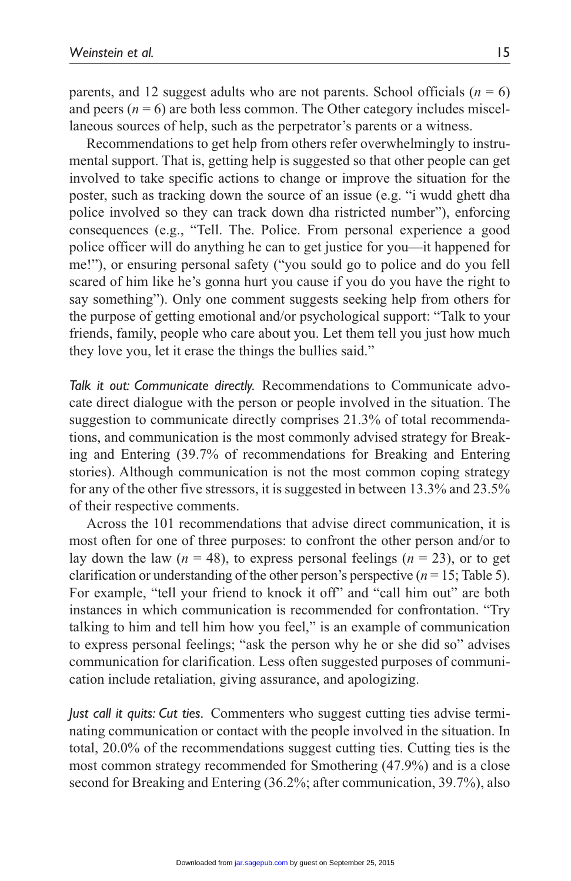parents, and 12 suggest adults who are not parents. School officials  $(n = 6)$ and peers  $(n = 6)$  are both less common. The Other category includes miscellaneous sources of help, such as the perpetrator's parents or a witness.

Recommendations to get help from others refer overwhelmingly to instrumental support. That is, getting help is suggested so that other people can get involved to take specific actions to change or improve the situation for the poster, such as tracking down the source of an issue (e.g. "i wudd ghett dha police involved so they can track down dha ristricted number"), enforcing consequences (e.g., "Tell. The. Police. From personal experience a good police officer will do anything he can to get justice for you—it happened for me!"), or ensuring personal safety ("you sould go to police and do you fell scared of him like he's gonna hurt you cause if you do you have the right to say something"). Only one comment suggests seeking help from others for the purpose of getting emotional and/or psychological support: "Talk to your friends, family, people who care about you. Let them tell you just how much they love you, let it erase the things the bullies said."

*Talk it out: Communicate directly.* Recommendations to Communicate advocate direct dialogue with the person or people involved in the situation. The suggestion to communicate directly comprises 21.3% of total recommendations, and communication is the most commonly advised strategy for Breaking and Entering (39.7% of recommendations for Breaking and Entering stories). Although communication is not the most common coping strategy for any of the other five stressors, it is suggested in between 13.3% and 23.5% of their respective comments.

Across the 101 recommendations that advise direct communication, it is most often for one of three purposes: to confront the other person and/or to lay down the law  $(n = 48)$ , to express personal feelings  $(n = 23)$ , or to get clarification or understanding of the other person's perspective  $(n = 15;$  Table 5). For example, "tell your friend to knock it off" and "call him out" are both instances in which communication is recommended for confrontation. "Try talking to him and tell him how you feel," is an example of communication to express personal feelings; "ask the person why he or she did so" advises communication for clarification. Less often suggested purposes of communication include retaliation, giving assurance, and apologizing.

*Just call it quits: Cut ties.* Commenters who suggest cutting ties advise terminating communication or contact with the people involved in the situation. In total, 20.0% of the recommendations suggest cutting ties. Cutting ties is the most common strategy recommended for Smothering (47.9%) and is a close second for Breaking and Entering (36.2%; after communication, 39.7%), also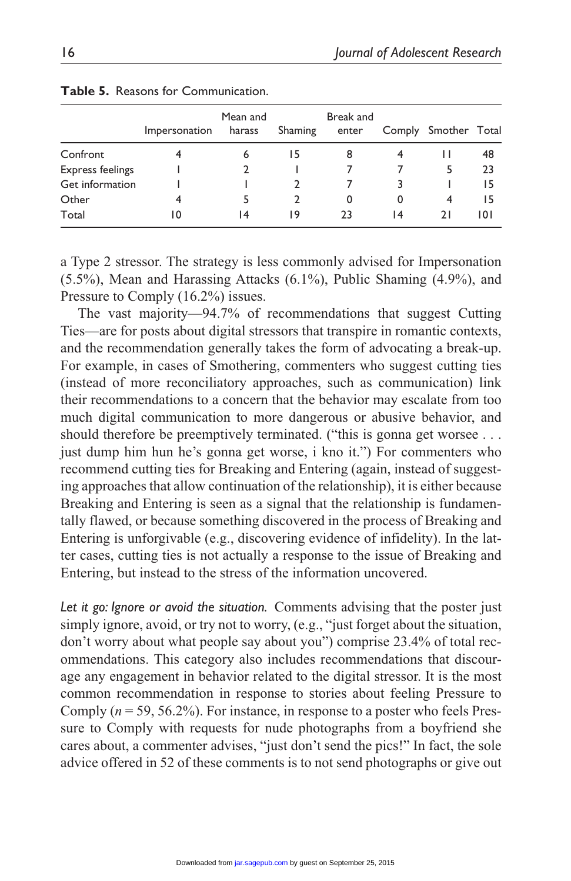|                         | Impersonation | Mean and<br>harass | Shaming | Break and<br>enter |    | Comply Smother Total |     |
|-------------------------|---------------|--------------------|---------|--------------------|----|----------------------|-----|
| Confront                | 4             | 6                  | 15      | 8                  |    | Н                    | 48  |
| <b>Express feelings</b> |               |                    |         |                    |    | 5                    | 23  |
| Get information         |               |                    |         |                    |    |                      | 15  |
| Other                   | 4             |                    | 2       | 0                  | 0  | 4                    | 15  |
| Total                   | ۱0            | 14                 | 19      | 23                 | 14 | 7 I                  | 101 |

**Table 5.** Reasons for Communication.

a Type 2 stressor. The strategy is less commonly advised for Impersonation (5.5%), Mean and Harassing Attacks (6.1%), Public Shaming (4.9%), and Pressure to Comply (16.2%) issues.

The vast majority—94.7% of recommendations that suggest Cutting Ties—are for posts about digital stressors that transpire in romantic contexts, and the recommendation generally takes the form of advocating a break-up. For example, in cases of Smothering, commenters who suggest cutting ties (instead of more reconciliatory approaches, such as communication) link their recommendations to a concern that the behavior may escalate from too much digital communication to more dangerous or abusive behavior, and should therefore be preemptively terminated. ("this is gonna get worsee . . . just dump him hun he's gonna get worse, i kno it.") For commenters who recommend cutting ties for Breaking and Entering (again, instead of suggesting approaches that allow continuation of the relationship), it is either because Breaking and Entering is seen as a signal that the relationship is fundamentally flawed, or because something discovered in the process of Breaking and Entering is unforgivable (e.g., discovering evidence of infidelity). In the latter cases, cutting ties is not actually a response to the issue of Breaking and Entering, but instead to the stress of the information uncovered.

*Let it go: Ignore or avoid the situation.* Comments advising that the poster just simply ignore, avoid, or try not to worry, (e.g., "just forget about the situation, don't worry about what people say about you") comprise 23.4% of total recommendations. This category also includes recommendations that discourage any engagement in behavior related to the digital stressor. It is the most common recommendation in response to stories about feeling Pressure to Comply  $(n = 59, 56.2\%)$ . For instance, in response to a poster who feels Pressure to Comply with requests for nude photographs from a boyfriend she cares about, a commenter advises, "just don't send the pics!" In fact, the sole advice offered in 52 of these comments is to not send photographs or give out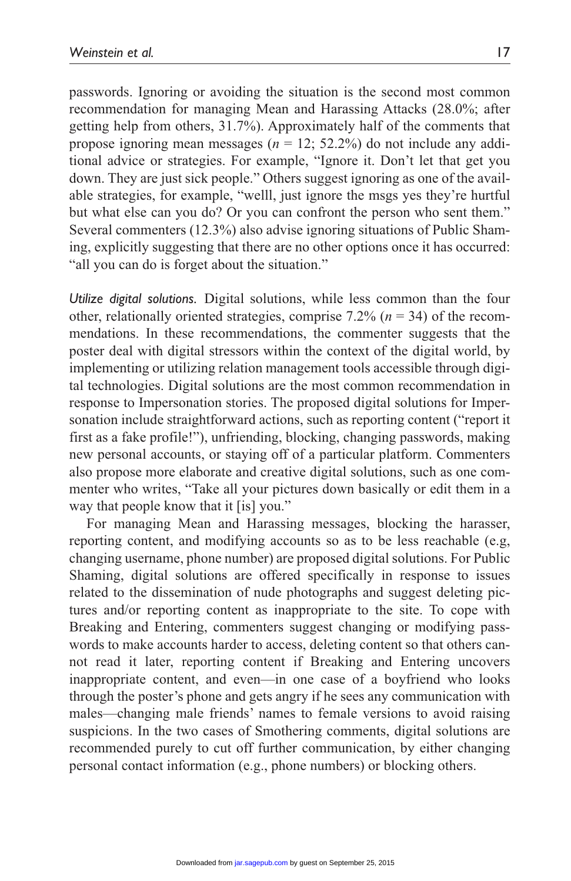passwords. Ignoring or avoiding the situation is the second most common recommendation for managing Mean and Harassing Attacks (28.0%; after getting help from others, 31.7%). Approximately half of the comments that propose ignoring mean messages ( $n = 12$ ; 52.2%) do not include any additional advice or strategies. For example, "Ignore it. Don't let that get you down. They are just sick people." Others suggest ignoring as one of the available strategies, for example, "welll, just ignore the msgs yes they're hurtful but what else can you do? Or you can confront the person who sent them." Several commenters (12.3%) also advise ignoring situations of Public Shaming, explicitly suggesting that there are no other options once it has occurred: "all you can do is forget about the situation."

*Utilize digital solutions.* Digital solutions, while less common than the four other, relationally oriented strategies, comprise 7.2% (*n* = 34) of the recommendations. In these recommendations, the commenter suggests that the poster deal with digital stressors within the context of the digital world, by implementing or utilizing relation management tools accessible through digital technologies. Digital solutions are the most common recommendation in response to Impersonation stories. The proposed digital solutions for Impersonation include straightforward actions, such as reporting content ("report it first as a fake profile!"), unfriending, blocking, changing passwords, making new personal accounts, or staying off of a particular platform. Commenters also propose more elaborate and creative digital solutions, such as one commenter who writes, "Take all your pictures down basically or edit them in a way that people know that it [is] you."

For managing Mean and Harassing messages, blocking the harasser, reporting content, and modifying accounts so as to be less reachable (e.g, changing username, phone number) are proposed digital solutions. For Public Shaming, digital solutions are offered specifically in response to issues related to the dissemination of nude photographs and suggest deleting pictures and/or reporting content as inappropriate to the site. To cope with Breaking and Entering, commenters suggest changing or modifying passwords to make accounts harder to access, deleting content so that others cannot read it later, reporting content if Breaking and Entering uncovers inappropriate content, and even—in one case of a boyfriend who looks through the poster's phone and gets angry if he sees any communication with males—changing male friends' names to female versions to avoid raising suspicions. In the two cases of Smothering comments, digital solutions are recommended purely to cut off further communication, by either changing personal contact information (e.g., phone numbers) or blocking others.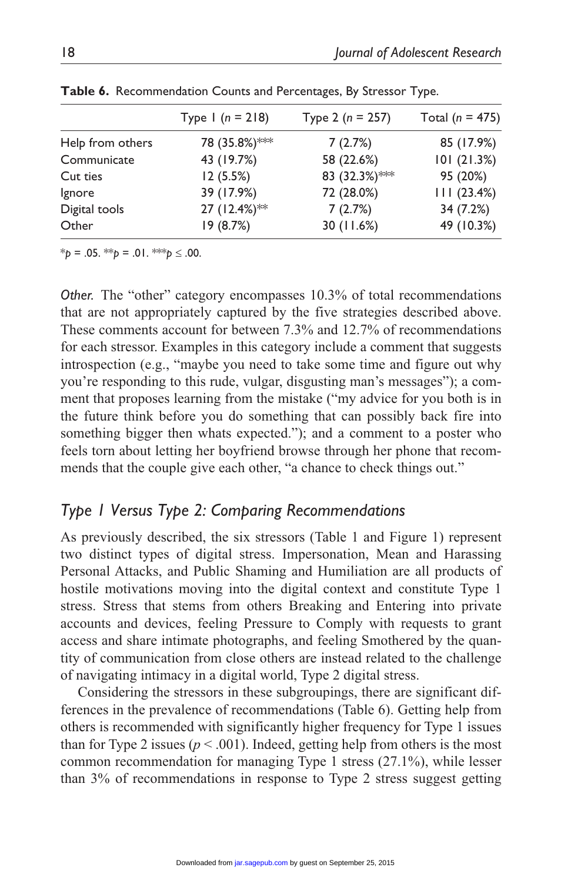|                  | Type $1 (n = 218)$ | Type 2 $(n = 257)$ | Total ( $n = 475$ ) |
|------------------|--------------------|--------------------|---------------------|
| Help from others | 78 (35.8%)***      | 7(2.7%)            | 85 (17.9%)          |
| Communicate      | 43 (19.7%)         | 58 (22.6%)         | 101(21.3%)          |
| Cut ties         | 12(5.5%)           | 83 (32.3%)***      | 95 (20%)            |
| Ignore           | 39 (17.9%)         | 72 (28.0%)         | 111(23.4%)          |
| Digital tools    | 27 (12.4%)**       | 7(2.7%)            | 34 (7.2%)           |
| Other            | 19 (8.7%)          | 30 (11.6%)         | 49 (10.3%)          |

**Table 6.** Recommendation Counts and Percentages, By Stressor Type.

\**p* = .05. \*\**p* = .01. \*\*\**p* ≤ .00.

*Other.* The "other" category encompasses 10.3% of total recommendations that are not appropriately captured by the five strategies described above. These comments account for between 7.3% and 12.7% of recommendations for each stressor. Examples in this category include a comment that suggests introspection (e.g., "maybe you need to take some time and figure out why you're responding to this rude, vulgar, disgusting man's messages"); a comment that proposes learning from the mistake ("my advice for you both is in the future think before you do something that can possibly back fire into something bigger then whats expected."); and a comment to a poster who feels torn about letting her boyfriend browse through her phone that recommends that the couple give each other, "a chance to check things out."

## *Type 1 Versus Type 2: Comparing Recommendations*

As previously described, the six stressors (Table 1 and Figure 1) represent two distinct types of digital stress. Impersonation, Mean and Harassing Personal Attacks, and Public Shaming and Humiliation are all products of hostile motivations moving into the digital context and constitute Type 1 stress. Stress that stems from others Breaking and Entering into private accounts and devices, feeling Pressure to Comply with requests to grant access and share intimate photographs, and feeling Smothered by the quantity of communication from close others are instead related to the challenge of navigating intimacy in a digital world, Type 2 digital stress.

Considering the stressors in these subgroupings, there are significant differences in the prevalence of recommendations (Table 6). Getting help from others is recommended with significantly higher frequency for Type 1 issues than for Type 2 issues ( $p < .001$ ). Indeed, getting help from others is the most common recommendation for managing Type 1 stress (27.1%), while lesser than 3% of recommendations in response to Type 2 stress suggest getting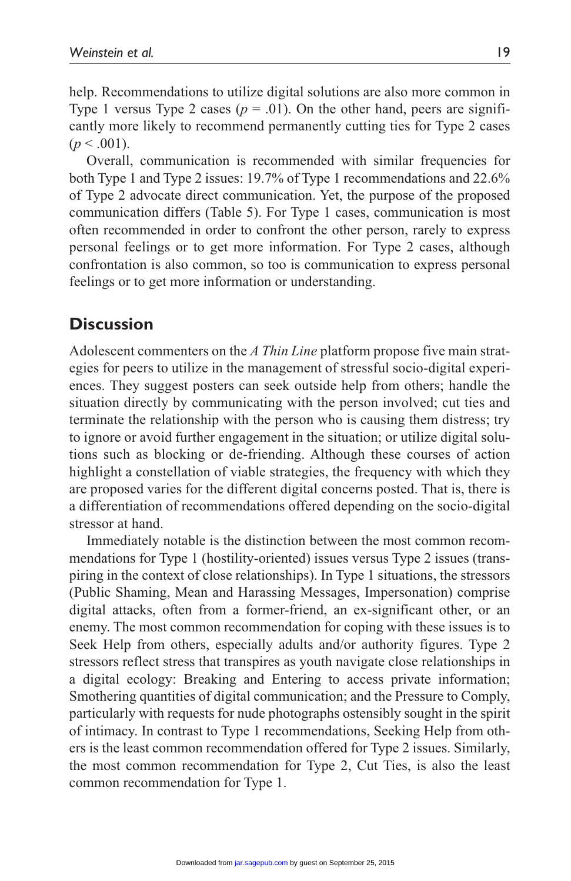help. Recommendations to utilize digital solutions are also more common in Type 1 versus Type 2 cases ( $p = .01$ ). On the other hand, peers are significantly more likely to recommend permanently cutting ties for Type 2 cases  $(p < .001)$ .

Overall, communication is recommended with similar frequencies for both Type 1 and Type 2 issues: 19.7% of Type 1 recommendations and 22.6% of Type 2 advocate direct communication. Yet, the purpose of the proposed communication differs (Table 5). For Type 1 cases, communication is most often recommended in order to confront the other person, rarely to express personal feelings or to get more information. For Type 2 cases, although confrontation is also common, so too is communication to express personal feelings or to get more information or understanding.

## **Discussion**

Adolescent commenters on the *A Thin Line* platform propose five main strategies for peers to utilize in the management of stressful socio-digital experiences. They suggest posters can seek outside help from others; handle the situation directly by communicating with the person involved; cut ties and terminate the relationship with the person who is causing them distress; try to ignore or avoid further engagement in the situation; or utilize digital solutions such as blocking or de-friending. Although these courses of action highlight a constellation of viable strategies, the frequency with which they are proposed varies for the different digital concerns posted. That is, there is a differentiation of recommendations offered depending on the socio-digital stressor at hand.

Immediately notable is the distinction between the most common recommendations for Type 1 (hostility-oriented) issues versus Type 2 issues (transpiring in the context of close relationships). In Type 1 situations, the stressors (Public Shaming, Mean and Harassing Messages, Impersonation) comprise digital attacks, often from a former-friend, an ex-significant other, or an enemy. The most common recommendation for coping with these issues is to Seek Help from others, especially adults and/or authority figures. Type 2 stressors reflect stress that transpires as youth navigate close relationships in a digital ecology: Breaking and Entering to access private information; Smothering quantities of digital communication; and the Pressure to Comply, particularly with requests for nude photographs ostensibly sought in the spirit of intimacy. In contrast to Type 1 recommendations, Seeking Help from others is the least common recommendation offered for Type 2 issues. Similarly, the most common recommendation for Type 2, Cut Ties, is also the least common recommendation for Type 1.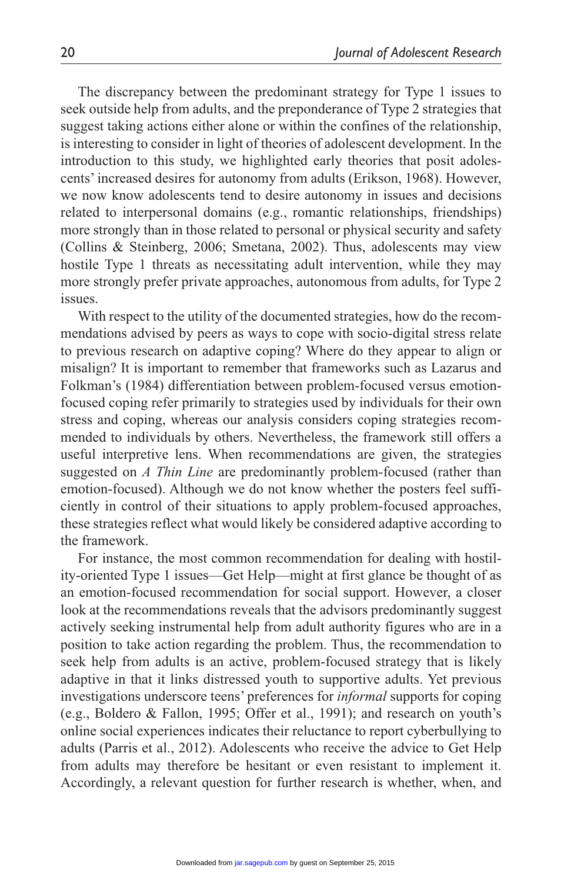The discrepancy between the predominant strategy for Type 1 issues to seek outside help from adults, and the preponderance of Type 2 strategies that suggest taking actions either alone or within the confines of the relationship, is interesting to consider in light of theories of adolescent development. In the introduction to this study, we highlighted early theories that posit adolescents' increased desires for autonomy from adults (Erikson, 1968). However, we now know adolescents tend to desire autonomy in issues and decisions related to interpersonal domains (e.g., romantic relationships, friendships) more strongly than in those related to personal or physical security and safety (Collins & Steinberg, 2006; Smetana, 2002). Thus, adolescents may view hostile Type 1 threats as necessitating adult intervention, while they may more strongly prefer private approaches, autonomous from adults, for Type 2 issues.

With respect to the utility of the documented strategies, how do the recommendations advised by peers as ways to cope with socio-digital stress relate to previous research on adaptive coping? Where do they appear to align or misalign? It is important to remember that frameworks such as Lazarus and Folkman's (1984) differentiation between problem-focused versus emotionfocused coping refer primarily to strategies used by individuals for their own stress and coping, whereas our analysis considers coping strategies recommended to individuals by others. Nevertheless, the framework still offers a useful interpretive lens. When recommendations are given, the strategies suggested on *A Thin Line* are predominantly problem-focused (rather than emotion-focused). Although we do not know whether the posters feel sufficiently in control of their situations to apply problem-focused approaches, these strategies reflect what would likely be considered adaptive according to the framework.

For instance, the most common recommendation for dealing with hostility-oriented Type 1 issues—Get Help—might at first glance be thought of as an emotion-focused recommendation for social support. However, a closer look at the recommendations reveals that the advisors predominantly suggest actively seeking instrumental help from adult authority figures who are in a position to take action regarding the problem. Thus, the recommendation to seek help from adults is an active, problem-focused strategy that is likely adaptive in that it links distressed youth to supportive adults. Yet previous investigations underscore teens' preferences for *informal* supports for coping (e.g., Boldero & Fallon, 1995; Offer et al., 1991); and research on youth's online social experiences indicates their reluctance to report cyberbullying to adults (Parris et al., 2012). Adolescents who receive the advice to Get Help from adults may therefore be hesitant or even resistant to implement it. Accordingly, a relevant question for further research is whether, when, and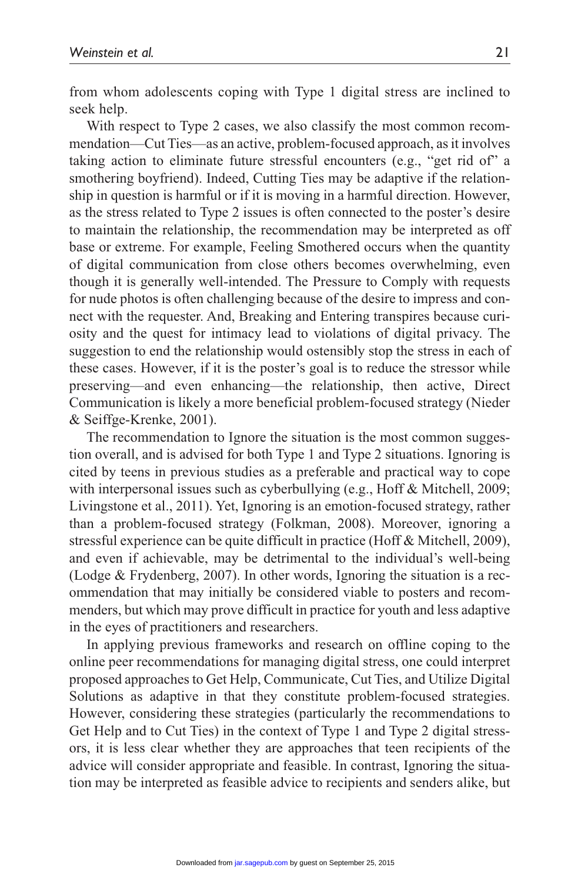from whom adolescents coping with Type 1 digital stress are inclined to seek help.

With respect to Type 2 cases, we also classify the most common recommendation—Cut Ties—as an active, problem-focused approach, as it involves taking action to eliminate future stressful encounters (e.g., "get rid of" a smothering boyfriend). Indeed, Cutting Ties may be adaptive if the relationship in question is harmful or if it is moving in a harmful direction. However, as the stress related to Type 2 issues is often connected to the poster's desire to maintain the relationship, the recommendation may be interpreted as off base or extreme. For example, Feeling Smothered occurs when the quantity of digital communication from close others becomes overwhelming, even though it is generally well-intended. The Pressure to Comply with requests for nude photos is often challenging because of the desire to impress and connect with the requester. And, Breaking and Entering transpires because curiosity and the quest for intimacy lead to violations of digital privacy. The suggestion to end the relationship would ostensibly stop the stress in each of these cases. However, if it is the poster's goal is to reduce the stressor while preserving—and even enhancing—the relationship, then active, Direct Communication is likely a more beneficial problem-focused strategy (Nieder & Seiffge-Krenke, 2001).

The recommendation to Ignore the situation is the most common suggestion overall, and is advised for both Type 1 and Type 2 situations. Ignoring is cited by teens in previous studies as a preferable and practical way to cope with interpersonal issues such as cyberbullying (e.g., Hoff & Mitchell, 2009; Livingstone et al., 2011). Yet, Ignoring is an emotion-focused strategy, rather than a problem-focused strategy (Folkman, 2008). Moreover, ignoring a stressful experience can be quite difficult in practice (Hoff & Mitchell, 2009), and even if achievable, may be detrimental to the individual's well-being (Lodge & Frydenberg, 2007). In other words, Ignoring the situation is a recommendation that may initially be considered viable to posters and recommenders, but which may prove difficult in practice for youth and less adaptive in the eyes of practitioners and researchers.

In applying previous frameworks and research on offline coping to the online peer recommendations for managing digital stress, one could interpret proposed approaches to Get Help, Communicate, Cut Ties, and Utilize Digital Solutions as adaptive in that they constitute problem-focused strategies. However, considering these strategies (particularly the recommendations to Get Help and to Cut Ties) in the context of Type 1 and Type 2 digital stressors, it is less clear whether they are approaches that teen recipients of the advice will consider appropriate and feasible. In contrast, Ignoring the situation may be interpreted as feasible advice to recipients and senders alike, but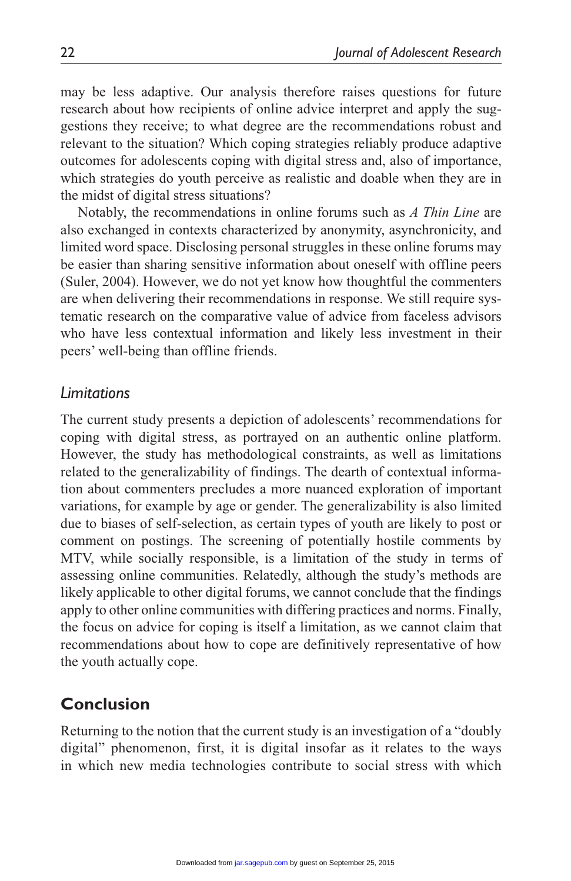may be less adaptive. Our analysis therefore raises questions for future research about how recipients of online advice interpret and apply the suggestions they receive; to what degree are the recommendations robust and relevant to the situation? Which coping strategies reliably produce adaptive outcomes for adolescents coping with digital stress and, also of importance, which strategies do youth perceive as realistic and doable when they are in the midst of digital stress situations?

Notably, the recommendations in online forums such as *A Thin Line* are also exchanged in contexts characterized by anonymity, asynchronicity, and limited word space. Disclosing personal struggles in these online forums may be easier than sharing sensitive information about oneself with offline peers (Suler, 2004). However, we do not yet know how thoughtful the commenters are when delivering their recommendations in response. We still require systematic research on the comparative value of advice from faceless advisors who have less contextual information and likely less investment in their peers' well-being than offline friends.

### *Limitations*

The current study presents a depiction of adolescents' recommendations for coping with digital stress, as portrayed on an authentic online platform. However, the study has methodological constraints, as well as limitations related to the generalizability of findings. The dearth of contextual information about commenters precludes a more nuanced exploration of important variations, for example by age or gender. The generalizability is also limited due to biases of self-selection, as certain types of youth are likely to post or comment on postings. The screening of potentially hostile comments by MTV, while socially responsible, is a limitation of the study in terms of assessing online communities. Relatedly, although the study's methods are likely applicable to other digital forums, we cannot conclude that the findings apply to other online communities with differing practices and norms. Finally, the focus on advice for coping is itself a limitation, as we cannot claim that recommendations about how to cope are definitively representative of how the youth actually cope.

### **Conclusion**

Returning to the notion that the current study is an investigation of a "doubly digital" phenomenon, first, it is digital insofar as it relates to the ways in which new media technologies contribute to social stress with which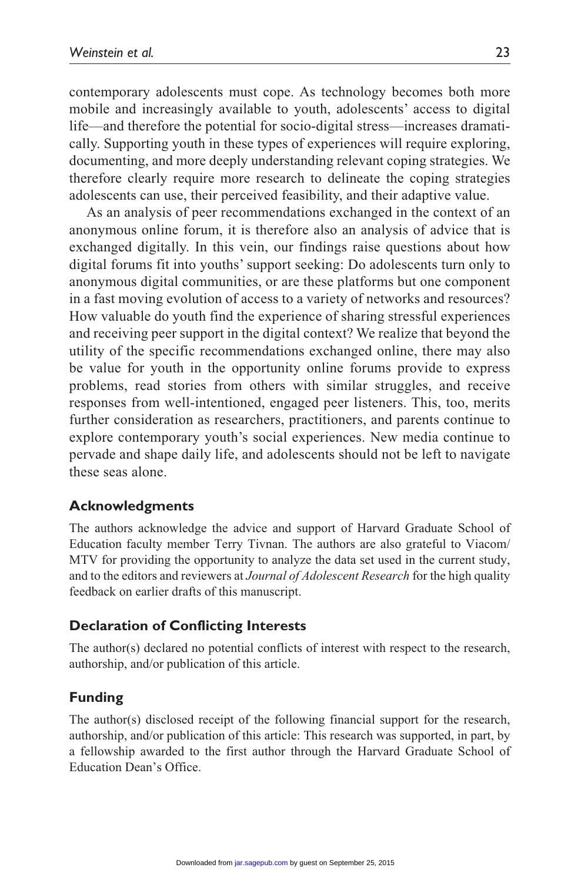contemporary adolescents must cope. As technology becomes both more mobile and increasingly available to youth, adolescents' access to digital life—and therefore the potential for socio-digital stress—increases dramatically. Supporting youth in these types of experiences will require exploring, documenting, and more deeply understanding relevant coping strategies. We therefore clearly require more research to delineate the coping strategies adolescents can use, their perceived feasibility, and their adaptive value.

As an analysis of peer recommendations exchanged in the context of an anonymous online forum, it is therefore also an analysis of advice that is exchanged digitally. In this vein, our findings raise questions about how digital forums fit into youths' support seeking: Do adolescents turn only to anonymous digital communities, or are these platforms but one component in a fast moving evolution of access to a variety of networks and resources? How valuable do youth find the experience of sharing stressful experiences and receiving peer support in the digital context? We realize that beyond the utility of the specific recommendations exchanged online, there may also be value for youth in the opportunity online forums provide to express problems, read stories from others with similar struggles, and receive responses from well-intentioned, engaged peer listeners. This, too, merits further consideration as researchers, practitioners, and parents continue to explore contemporary youth's social experiences. New media continue to pervade and shape daily life, and adolescents should not be left to navigate these seas alone.

### **Acknowledgments**

The authors acknowledge the advice and support of Harvard Graduate School of Education faculty member Terry Tivnan. The authors are also grateful to Viacom/ MTV for providing the opportunity to analyze the data set used in the current study, and to the editors and reviewers at *Journal of Adolescent Research* for the high quality feedback on earlier drafts of this manuscript.

### **Declaration of Conflicting Interests**

The author(s) declared no potential conflicts of interest with respect to the research, authorship, and/or publication of this article.

### **Funding**

The author(s) disclosed receipt of the following financial support for the research, authorship, and/or publication of this article: This research was supported, in part, by a fellowship awarded to the first author through the Harvard Graduate School of Education Dean's Office.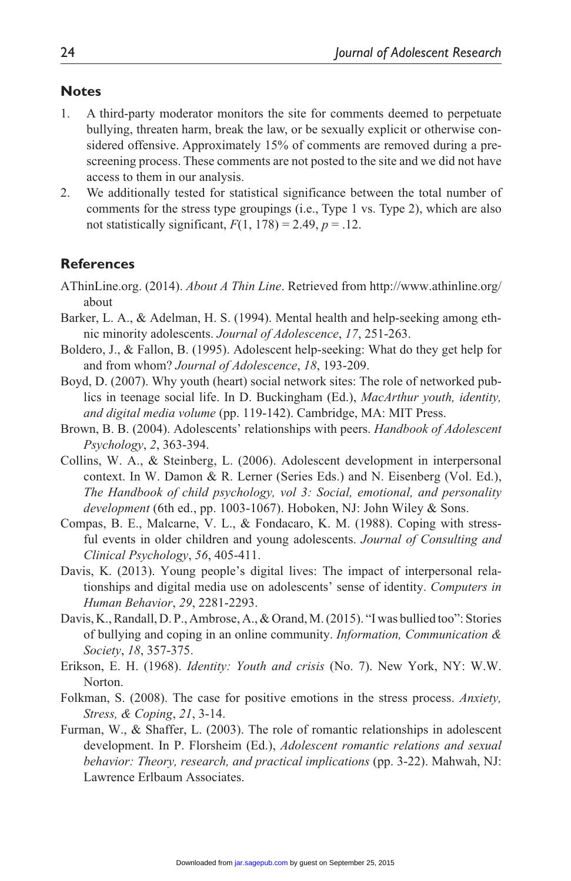### **Notes**

- 1. A third-party moderator monitors the site for comments deemed to perpetuate bullying, threaten harm, break the law, or be sexually explicit or otherwise considered offensive. Approximately 15% of comments are removed during a prescreening process. These comments are not posted to the site and we did not have access to them in our analysis.
- 2. We additionally tested for statistical significance between the total number of comments for the stress type groupings (i.e., Type 1 vs. Type 2), which are also not statistically significant,  $F(1, 178) = 2.49$ ,  $p = .12$ .

### **References**

- AThinLine.org. (2014). *About A Thin Line*. Retrieved from [http://www.athinline.org/](http://www.athinline.org/about) [about](http://www.athinline.org/about)
- Barker, L. A., & Adelman, H. S. (1994). Mental health and help-seeking among ethnic minority adolescents. *Journal of Adolescence*, *17*, 251-263.
- Boldero, J., & Fallon, B. (1995). Adolescent help-seeking: What do they get help for and from whom? *Journal of Adolescence*, *18*, 193-209.
- Boyd, D. (2007). Why youth (heart) social network sites: The role of networked publics in teenage social life. In D. Buckingham (Ed.), *MacArthur youth, identity, and digital media volume* (pp. 119-142). Cambridge, MA: MIT Press.
- Brown, B. B. (2004). Adolescents' relationships with peers. *Handbook of Adolescent Psychology*, *2*, 363-394.
- Collins, W. A., & Steinberg, L. (2006). Adolescent development in interpersonal context. In W. Damon & R. Lerner (Series Eds.) and N. Eisenberg (Vol. Ed.), *The Handbook of child psychology, vol 3: Social, emotional, and personality development* (6th ed., pp. 1003-1067). Hoboken, NJ: John Wiley & Sons.
- Compas, B. E., Malcarne, V. L., & Fondacaro, K. M. (1988). Coping with stressful events in older children and young adolescents. *Journal of Consulting and Clinical Psychology*, *56*, 405-411.
- Davis, K. (2013). Young people's digital lives: The impact of interpersonal relationships and digital media use on adolescents' sense of identity. *Computers in Human Behavior*, *29*, 2281-2293.
- Davis, K., Randall, D. P., Ambrose, A., & Orand, M. (2015). "I was bullied too": Stories of bullying and coping in an online community. *Information, Communication & Society*, *18*, 357-375.
- Erikson, E. H. (1968). *Identity: Youth and crisis* (No. 7). New York, NY: W.W. Norton.
- Folkman, S. (2008). The case for positive emotions in the stress process. *Anxiety, Stress, & Coping*, *21*, 3-14.
- Furman, W., & Shaffer, L. (2003). The role of romantic relationships in adolescent development. In P. Florsheim (Ed.), *Adolescent romantic relations and sexual behavior: Theory, research, and practical implications* (pp. 3-22). Mahwah, NJ: Lawrence Erlbaum Associates.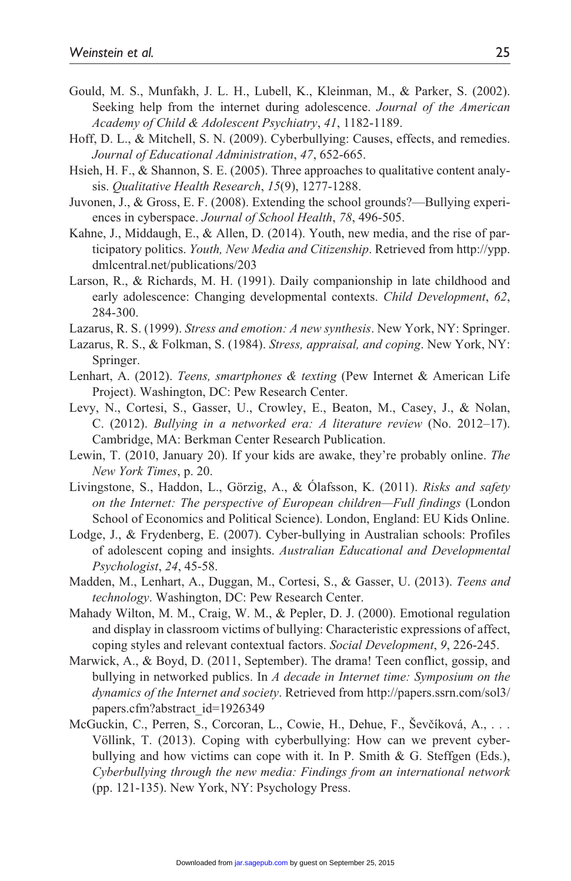- Gould, M. S., Munfakh, J. L. H., Lubell, K., Kleinman, M., & Parker, S. (2002). Seeking help from the internet during adolescence. *Journal of the American Academy of Child & Adolescent Psychiatry*, *41*, 1182-1189.
- Hoff, D. L., & Mitchell, S. N. (2009). Cyberbullying: Causes, effects, and remedies. *Journal of Educational Administration*, *47*, 652-665.
- Hsieh, H. F., & Shannon, S. E. (2005). Three approaches to qualitative content analysis. *Qualitative Health Research*, *15*(9), 1277-1288.
- Juvonen, J., & Gross, E. F. (2008). Extending the school grounds?—Bullying experiences in cyberspace. *Journal of School Health*, *78*, 496-505.
- Kahne, J., Middaugh, E., & Allen, D. (2014). Youth, new media, and the rise of participatory politics. *Youth, New Media and Citizenship*. Retrieved from [http://ypp.](http://ypp.dmlcentral.net/publications/203) [dmlcentral.net/publications/203](http://ypp.dmlcentral.net/publications/203)
- Larson, R., & Richards, M. H. (1991). Daily companionship in late childhood and early adolescence: Changing developmental contexts. *Child Development*, *62*, 284-300.
- Lazarus, R. S. (1999). *Stress and emotion: A new synthesis*. New York, NY: Springer.
- Lazarus, R. S., & Folkman, S. (1984). *Stress, appraisal, and coping*. New York, NY: Springer.
- Lenhart, A. (2012). *Teens, smartphones & texting* (Pew Internet & American Life Project). Washington, DC: Pew Research Center.
- Levy, N., Cortesi, S., Gasser, U., Crowley, E., Beaton, M., Casey, J., & Nolan, C. (2012). *Bullying in a networked era: A literature review* (No. 2012–17). Cambridge, MA: Berkman Center Research Publication.
- Lewin, T. (2010, January 20). If your kids are awake, they're probably online. *The New York Times*, p. 20.
- Livingstone, S., Haddon, L., Görzig, A., & Ólafsson, K. (2011). *Risks and safety on the Internet: The perspective of European children—Full findings* (London School of Economics and Political Science). London, England: EU Kids Online.
- Lodge, J., & Frydenberg, E. (2007). Cyber-bullying in Australian schools: Profiles of adolescent coping and insights. *Australian Educational and Developmental Psychologist*, *24*, 45-58.
- Madden, M., Lenhart, A., Duggan, M., Cortesi, S., & Gasser, U. (2013). *Teens and technology*. Washington, DC: Pew Research Center.
- Mahady Wilton, M. M., Craig, W. M., & Pepler, D. J. (2000). Emotional regulation and display in classroom victims of bullying: Characteristic expressions of affect, coping styles and relevant contextual factors. *Social Development*, *9*, 226-245.
- Marwick, A., & Boyd, D. (2011, September). The drama! Teen conflict, gossip, and bullying in networked publics. In *A decade in Internet time: Symposium on the dynamics of the Internet and society*. Retrieved from [http://papers.ssrn.com/sol3/](http://papers.ssrn.com/sol3/papers.cfm?abstract_id=1926349) [papers.cfm?abstract\\_id=1926349](http://papers.ssrn.com/sol3/papers.cfm?abstract_id=1926349)
- McGuckin, C., Perren, S., Corcoran, L., Cowie, H., Dehue, F., Ševčíková, A., . . . Völlink, T. (2013). Coping with cyberbullying: How can we prevent cyberbullying and how victims can cope with it. In P. Smith & G. Steffgen (Eds.), *Cyberbullying through the new media: Findings from an international network* (pp. 121-135). New York, NY: Psychology Press.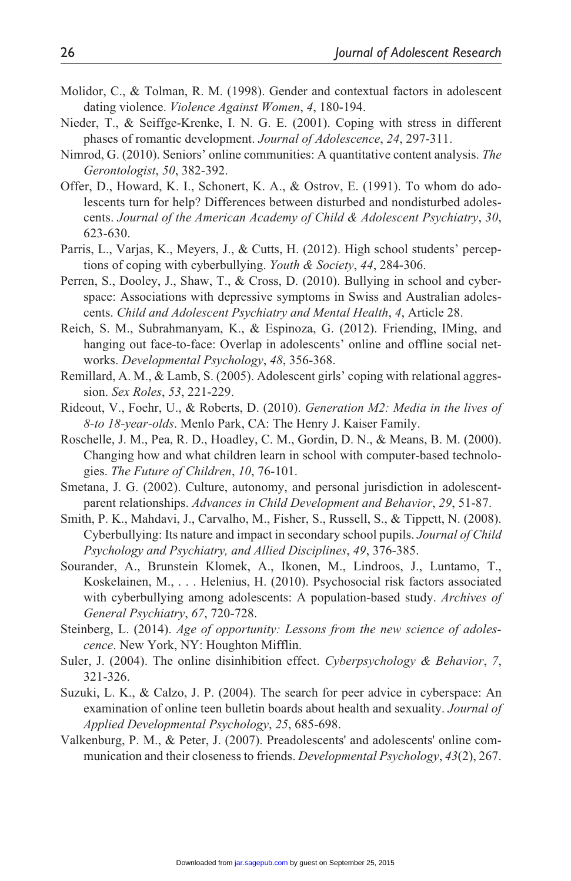- Molidor, C., & Tolman, R. M. (1998). Gender and contextual factors in adolescent dating violence. *Violence Against Women*, *4*, 180-194.
- Nieder, T., & Seiffge-Krenke, I. N. G. E. (2001). Coping with stress in different phases of romantic development. *Journal of Adolescence*, *24*, 297-311.
- Nimrod, G. (2010). Seniors' online communities: A quantitative content analysis. *The Gerontologist*, *50*, 382-392.
- Offer, D., Howard, K. I., Schonert, K. A., & Ostrov, E. (1991). To whom do adolescents turn for help? Differences between disturbed and nondisturbed adolescents. *Journal of the American Academy of Child & Adolescent Psychiatry*, *30*, 623-630.
- Parris, L., Varjas, K., Meyers, J., & Cutts, H. (2012). High school students' perceptions of coping with cyberbullying. *Youth & Society*, *44*, 284-306.
- Perren, S., Dooley, J., Shaw, T., & Cross, D. (2010). Bullying in school and cyberspace: Associations with depressive symptoms in Swiss and Australian adolescents. *Child and Adolescent Psychiatry and Mental Health*, *4*, Article 28.
- Reich, S. M., Subrahmanyam, K., & Espinoza, G. (2012). Friending, IMing, and hanging out face-to-face: Overlap in adolescents' online and offline social networks. *Developmental Psychology*, *48*, 356-368.
- Remillard, A. M., & Lamb, S. (2005). Adolescent girls' coping with relational aggression. *Sex Roles*, *53*, 221-229.
- Rideout, V., Foehr, U., & Roberts, D. (2010). *Generation M2: Media in the lives of 8-to 18-year-olds*. Menlo Park, CA: The Henry J. Kaiser Family.
- Roschelle, J. M., Pea, R. D., Hoadley, C. M., Gordin, D. N., & Means, B. M. (2000). Changing how and what children learn in school with computer-based technologies. *The Future of Children*, *10*, 76-101.
- Smetana, J. G. (2002). Culture, autonomy, and personal jurisdiction in adolescentparent relationships. *Advances in Child Development and Behavior*, *29*, 51-87.
- Smith, P. K., Mahdavi, J., Carvalho, M., Fisher, S., Russell, S., & Tippett, N. (2008). Cyberbullying: Its nature and impact in secondary school pupils. *Journal of Child Psychology and Psychiatry, and Allied Disciplines*, *49*, 376-385.
- Sourander, A., Brunstein Klomek, A., Ikonen, M., Lindroos, J., Luntamo, T., Koskelainen, M., . . . Helenius, H. (2010). Psychosocial risk factors associated with cyberbullying among adolescents: A population-based study. *Archives of General Psychiatry*, *67*, 720-728.
- Steinberg, L. (2014). *Age of opportunity: Lessons from the new science of adolescence*. New York, NY: Houghton Mifflin.
- Suler, J. (2004). The online disinhibition effect. *Cyberpsychology & Behavior*, *7*, 321-326.
- Suzuki, L. K., & Calzo, J. P. (2004). The search for peer advice in cyberspace: An examination of online teen bulletin boards about health and sexuality. *Journal of Applied Developmental Psychology*, *25*, 685-698.
- Valkenburg, P. M., & Peter, J. (2007). Preadolescents' and adolescents' online communication and their closeness to friends. *Developmental Psychology*, *43*(2), 267.